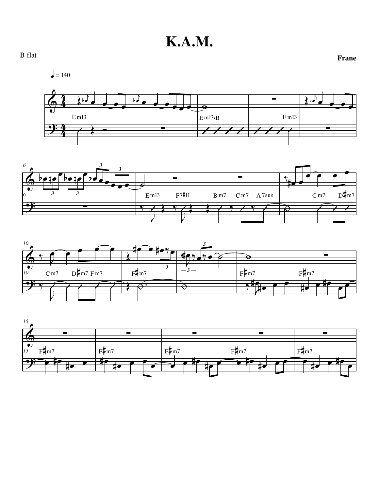







**Frane** B flat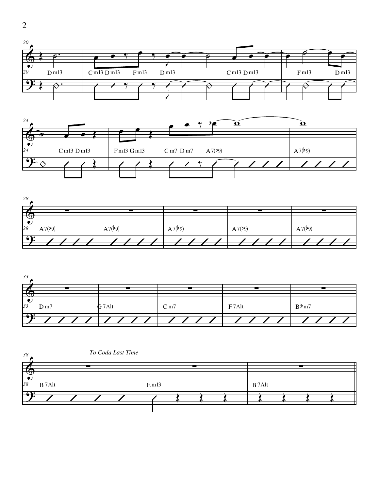